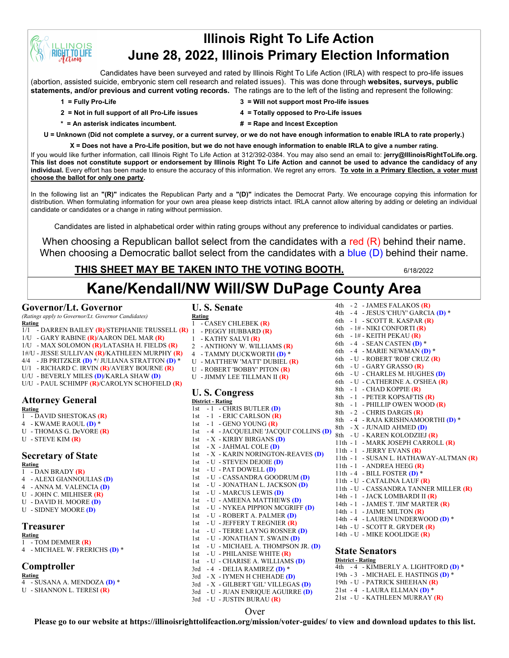# **Illinois Right To Life Action June 28, 2022, Illinois Primary Election Information**

Candidates have been surveyed and rated by Illinois Right To Life Action (IRLA) with respect to pro-life issues (abortion, assisted suicide, embryonic stem cell research and related issues). This was done through **websites, surveys, public statements, and/or previous and current voting records.** The ratings are to the left of the listing and represent the following:

**INOIS T.TO LIFE** 

- **2 = Not in full support of all Pro-Life issues 4 = Totally opposed to Pro-Life issues**
- **1 = Fully Pro-Life 3 = Will not support most Pro-life issues**
	-
- **\* = An asterisk indicates incumbent. # = Rape and Incest Exception**
- 

**U = Unknown (Did not complete a survey, or a current survey, or we do not have enough information to enable IRLA to rate properly.)**

**X = Does not have a Pro-Life position, but we do not have enough information to enable IRLA to give a number rating.**  If you would like further information, call Illinois Right To Life Action at 312/392-0384. You may also send an email to: **jerry@IllinoisRightToLife.org. This list does not constitute support or endorsement by Illinois Right To Life Action and cannot be used to advance the candidacy of any individual.** Every effort has been made to ensure the accuracy of this information. We regret any errors. **To vote in a Primary Election, a voter must choose the ballot for only one party.**

In the following list an **"(R)"** indicates the Republican Party and a **"(D)"** indicates the Democrat Party. We encourage copying this information for distribution. When formulating information for your own area please keep districts intact. IRLA cannot allow altering by adding or deleting an individual candidate or candidates or a change in rating without permission.

Candidates are listed in alphabetical order within rating groups without any preference to individual candidates or parties.

When choosing a Republican ballot select from the candidates with a red (R) behind their name. When choosing a Democratic ballot select from the candidates with a blue (D) behind their name.

## **THIS SHEET MAY BE TAKEN INTO THE VOTING BOOTH.** 6/18/2022

# **Kane/Kendall/NW Will/SW DuPage County Area**

### **Governor/Lt. Governor**

*(Ratings apply to Governor/Lt. Governor Candidates)*

- **Rating**
- 1/1 DARREN BAILEY **(R)**/STEPHANIE TRUSSELL **(R)** 1 PEGGY HUBBARD **(R)** 1/U - GARY RABINE **(R)**/AARON DEL MAR **(R)**
- 
- 1/U MAX SOLOMON **(R)**/LATASHA H. FIELDS **(R)** 1#/U - JESSE SULLIVAN **(R)**/KATHLEEN MURPHY **(R)**
- 4/4 JB PRITZKER **(D)** \*/ JULIANA STRATTON **(D)** \*
- U/1 RICHARD C. IRVIN **(R)**/AVERY BOURNE **(R)**
- U/U BEVERLY MILES **(D)**/KARLA SHAW **(D)**
- U/U PAUL SCHIMPF **(R)**/CAROLYN SCHOFIELD **(R)**

# **Attorney General**

**Rating** 1 - DAVID SHESTOKAS **(R)**

- 4 KWAME RAOUL **(D)** \*
- U THOMAS G. DeVORE **(R)**
- U STEVE KIM **(R)**

# **Secretary of State**

**Rating** 1 - DAN BRADY **(R)**

- 4 ALEXI GIANNOULIAS **(D)**
- 4 ANNA M. VALENCIA **(D)**
- U JOHN C. MILHISER **(R)**
- U DAVID H. MOORE **(D)**
- U SIDNEY MOORE **(D)**

# **Treasurer**

#### **Rating**

- 1 TOM DEMMER **(R)**
- 4 MICHAEL W. FRERICHS **(D)** \*

## **Comptroller**

- **Rating**
- 4 SUSANA A. MENDOZA **(D)** \*
- U SHANNON L. TERESI **(R)**

## **U. S. Senate**

**Rating** 1 - CASEY CHLEBEK **(R)** 1 - KATHY SALVI **(R)** 2 - ANTHONY W. WILLIAMS **(R)** 4 - TAMMY DUCKWORTH **(D)** \* U - MATTHEW 'MATT' DUBIEL **(R)** U - ROBERT 'BOBBY' PITON **(R)** U - JIMMY LEE TILLMAN II **(R) U. S. Congress District - Rating** 1st - 1 - CHRIS BUTLER **(D)** 1st - 1 - ERIC CARLSON **(R)** 1st - 1 - GENO YOUNG **(R)** 1st -1 - GENO TOONG (**N**)<br>1st -4 - JACQUELINE 'JACQUI' COLLINS **(D)** 8th - X - JUNAID AHMED **(D)** 1st - X - KIRBY BIRGANS **(D)** 1st - X - JAHMAL COLE **(D)** 1st - X - KARIN NORINGTON-REAVES **(D)** 1st - U - STEVEN DEJOIE **(D)** 1st - U - PAT DOWELL **(D)** 1st - U - CASSANDRA GOODRUM **(D)** 1st - U - JONATHAN L. JACKSON **(D)** 1st - U - MARCUS LEWIS **(D)** 1st - U - AMEENA MATTHEWS **(D)** 1st - U - NYKEA PIPPION MCGRIFF **(D)** 1st - U - ROBERT A. PALMER **(D)** 1st - U - JEFFERY T REGNIER **(R)** 1st - U - TERRE LAYNG ROSNER **(D)** 1st - U - JONATHAN T. SWAIN **(D)** 1st - U - MICHAEL A. THOMPSON JR. **(D)** 1st - U - PHILANISE WHITE **(R)** 1st - U - CHARISE A. WILLIAMS **(D)** 3rd - 4 - DELIA RAMIREZ **(D)** \*

4th - 2 - JAMES FALAKOS **(R)** 4th - 4 - JESUS 'CHUY' GARCIA **(D)** \* 6th - 1 - SCOTT R. KASPAR **(R)** 6th - 1# - NIKI CONFORTI **(R)** 6th - 1# - KEITH PEKAU **(R)** 6th - 4 - SEAN CASTEN **(D)** \* 6th - 4 - MARIE NEWMAN **(D)** \* 6th - U - ROBERT 'ROB' CRUZ **(R)** 6th - U - GARY GRASSO **(R)** 6th - U - CHARLES M. HUGHES **(D)** 6th - U - CATHERINE A. O'SHEA **(R)** 8th - 1 - CHAD KOPPIE **(R)** 8th - 1 - PETER KOPSAFTIS **(R)** 8th - 1 - PHILLIP OWEN WOOD **(R)** 8th - 2 - CHRIS DARGIS **(R)** 8th - 4 - RAJA KRISHNAMOORTHI **(D)** \* 8th - U - KAREN KOLODZIEJ **(R)** 11th - 1 - MARK JOSEPH CARROLL **(R)** 11th - 1 - JERRY EVANS **(R)** 11th - 1 - SUSAN L. HATHAWAY-ALTMAN **(R)** 11th - 1 - ANDREA HEEG **(R)** 11th - 4 - BILL FOSTER **(D)** \* 11th - U - CATALINA LAUF **(R)** 11th - U - CASSANDRA TANNER MILLER **(R)** 14th - 1 - JACK LOMBARDI II **(R)** 14th - 1 - JAMES T. 'JIM' MARTER **(R)** 14th - 1 - JAIME MILTON **(R)** 14th - 4 - LAUREN UNDERWOOD **(D)** \* 14th - U - SCOTT R. GRYDER **(R)** 14th - U - MIKE KOOLIDGE **(R) State Senators District - Rating** 4th - 4 - KIMBERLY A. LIGHTFORD **(D)** \* 19th - 3 - MICHAEL E. HASTINGS **(D)** \*

19th - U - PATRICK SHEEHAN **(R)** 21st - 4 - LAURA ELLMAN **(D)** \* 21st - U - KATHLEEN MURRAY **(R)**

## Over

3rd - X - IYMEN H CHEHADE **(D)** 3rd - X - GILBERT 'GIL' VILLEGAS **(D)** 3rd - U - JUAN ENRIQUE AGUIRRE **(D)**

3rd - U - JUSTIN BURAU **(R)**

**Please go to our website at https://illinoisrighttolifeaction.org/mission/voter-guides/ to view and download updates to this list.**